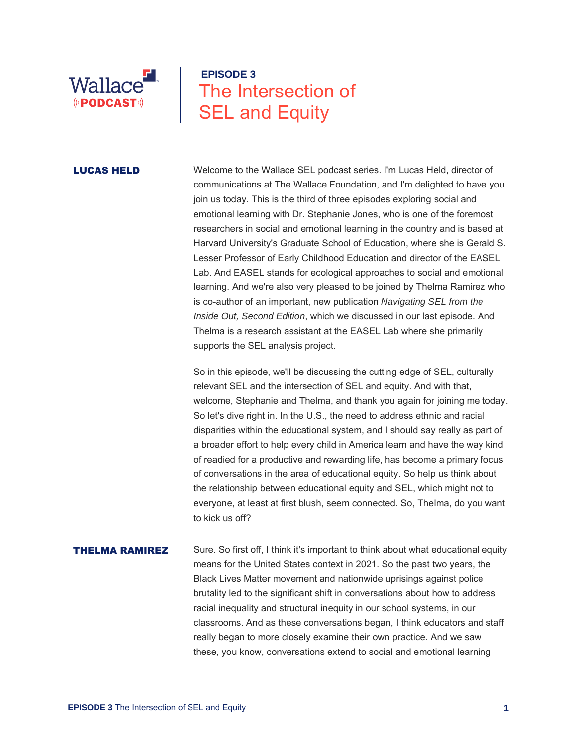

# **EPISODE 3** The Intersection of SEL and Equity

**LUCAS HELD** Welcome to the Wallace SEL podcast series. I'm Lucas Held, director of communications at The Wallace Foundation, and I'm delighted to have you join us today. This is the third of three episodes exploring social and emotional learning with Dr. Stephanie Jones, who is one of the foremost researchers in social and emotional learning in the country and is based at Harvard University's Graduate School of Education, where she is Gerald S. Lesser Professor of Early Childhood Education and director of the EASEL Lab. And EASEL stands for ecological approaches to social and emotional learning. And we're also very pleased to be joined by Thelma Ramirez who is co-author of an important, new publication *Navigating SEL from the Inside Out, Second Edition*, which we discussed in our last episode. And Thelma is a research assistant at the EASEL Lab where she primarily supports the SEL analysis project.

> So in this episode, we'll be discussing the cutting edge of SEL, culturally relevant SEL and the intersection of SEL and equity. And with that, welcome, Stephanie and Thelma, and thank you again for joining me today. So let's dive right in. In the U.S., the need to address ethnic and racial disparities within the educational system, and I should say really as part of a broader effort to help every child in America learn and have the way kind of readied for a productive and rewarding life, has become a primary focus of conversations in the area of educational equity. So help us think about the relationship between educational equity and SEL, which might not to everyone, at least at first blush, seem connected. So, Thelma, do you want to kick us off?

**THELMA RAMIREZ** Sure. So first off, I think it's important to think about what educational equity means for the United States context in 2021. So the past two years, the Black Lives Matter movement and nationwide uprisings against police brutality led to the significant shift in conversations about how to address racial inequality and structural inequity in our school systems, in our classrooms. And as these conversations began, I think educators and staff really began to more closely examine their own practice. And we saw these, you know, conversations extend to social and emotional learning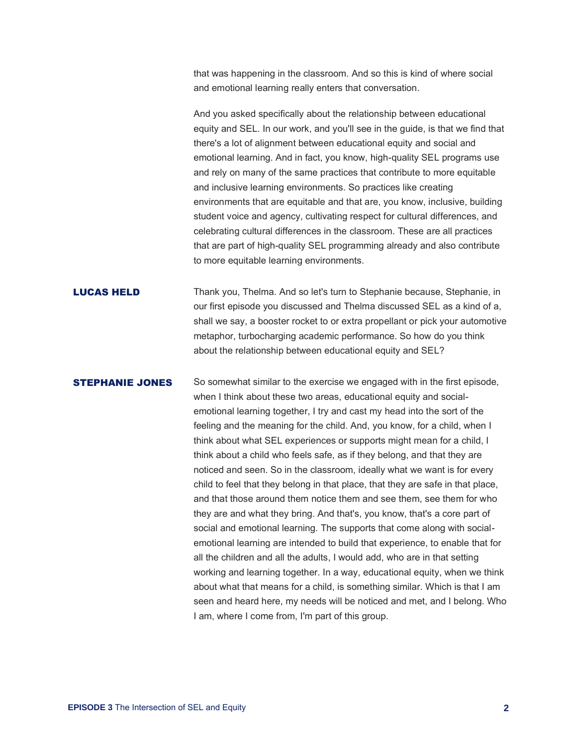that was happening in the classroom. And so this is kind of where social and emotional learning really enters that conversation.

And you asked specifically about the relationship between educational equity and SEL. In our work, and you'll see in the guide, is that we find that there's a lot of alignment between educational equity and social and emotional learning. And in fact, you know, high-quality SEL programs use and rely on many of the same practices that contribute to more equitable and inclusive learning environments. So practices like creating environments that are equitable and that are, you know, inclusive, building student voice and agency, cultivating respect for cultural differences, and celebrating cultural differences in the classroom. These are all practices that are part of high-quality SEL programming already and also contribute to more equitable learning environments.

**LUCAS HELD** Thank you, Thelma. And so let's turn to Stephanie because, Stephanie, in our first episode you discussed and Thelma discussed SEL as a kind of a, shall we say, a booster rocket to or extra propellant or pick your automotive metaphor, turbocharging academic performance. So how do you think about the relationship between educational equity and SEL?

**STEPHANIE JONES** So somewhat similar to the exercise we engaged with in the first episode, when I think about these two areas, educational equity and socialemotional learning together, I try and cast my head into the sort of the feeling and the meaning for the child. And, you know, for a child, when I think about what SEL experiences or supports might mean for a child, I think about a child who feels safe, as if they belong, and that they are noticed and seen. So in the classroom, ideally what we want is for every child to feel that they belong in that place, that they are safe in that place, and that those around them notice them and see them, see them for who they are and what they bring. And that's, you know, that's a core part of social and emotional learning. The supports that come along with socialemotional learning are intended to build that experience, to enable that for all the children and all the adults, I would add, who are in that setting working and learning together. In a way, educational equity, when we think about what that means for a child, is something similar. Which is that I am seen and heard here, my needs will be noticed and met, and I belong. Who I am, where I come from, I'm part of this group.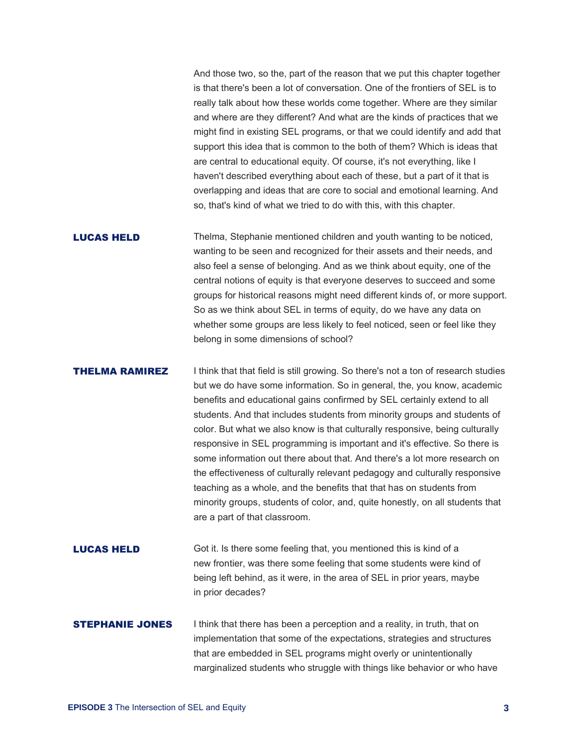And those two, so the, part of the reason that we put this chapter together is that there's been a lot of conversation. One of the frontiers of SEL is to really talk about how these worlds come together. Where are they similar and where are they different? And what are the kinds of practices that we might find in existing SEL programs, or that we could identify and add that support this idea that is common to the both of them? Which is ideas that are central to educational equity. Of course, it's not everything, like I haven't described everything about each of these, but a part of it that is overlapping and ideas that are core to social and emotional learning. And so, that's kind of what we tried to do with this, with this chapter.

**LUCAS HELD** Thelma, Stephanie mentioned children and youth wanting to be noticed, wanting to be seen and recognized for their assets and their needs, and also feel a sense of belonging. And as we think about equity, one of the central notions of equity is that everyone deserves to succeed and some groups for historical reasons might need different kinds of, or more support. So as we think about SEL in terms of equity, do we have any data on whether some groups are less likely to feel noticed, seen or feel like they belong in some dimensions of school?

**THELMA RAMIREZ** I think that that field is still growing. So there's not a ton of research studies but we do have some information. So in general, the, you know, academic benefits and educational gains confirmed by SEL certainly extend to all students. And that includes students from minority groups and students of color. But what we also know is that culturally responsive, being culturally responsive in SEL programming is important and it's effective. So there is some information out there about that. And there's a lot more research on the effectiveness of culturally relevant pedagogy and culturally responsive teaching as a whole, and the benefits that that has on students from minority groups, students of color, and, quite honestly, on all students that are a part of that classroom.

**LUCAS HELD** Got it. Is there some feeling that, you mentioned this is kind of a new frontier, was there some feeling that some students were kind of being left behind, as it were, in the area of SEL in prior years, maybe in prior decades?

## **STEPHANIE JONES** I think that there has been a perception and a reality, in truth, that on implementation that some of the expectations, strategies and structures that are embedded in SEL programs might overly or unintentionally marginalized students who struggle with things like behavior or who have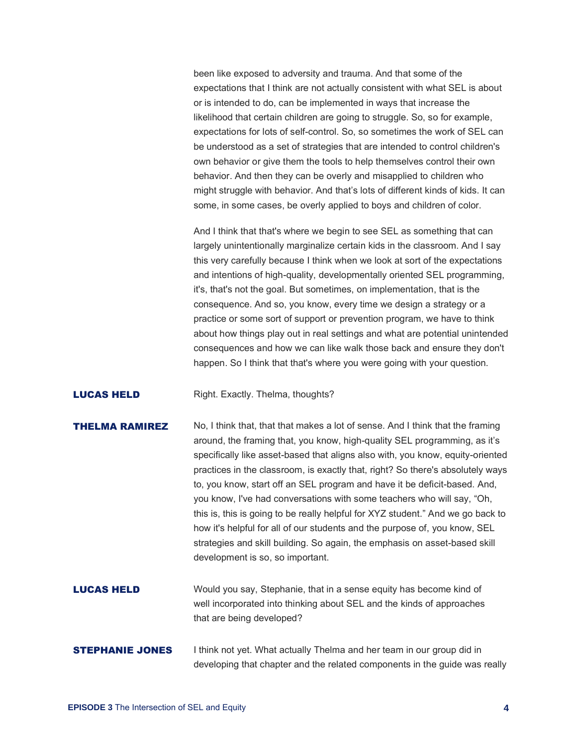been like exposed to adversity and trauma. And that some of the expectations that I think are not actually consistent with what SEL is about or is intended to do, can be implemented in ways that increase the likelihood that certain children are going to struggle. So, so for example, expectations for lots of self-control. So, so sometimes the work of SEL can be understood as a set of strategies that are intended to control children's own behavior or give them the tools to help themselves control their own behavior. And then they can be overly and misapplied to children who might struggle with behavior. And that's lots of different kinds of kids. It can some, in some cases, be overly applied to boys and children of color.

And I think that that's where we begin to see SEL as something that can largely unintentionally marginalize certain kids in the classroom. And I say this very carefully because I think when we look at sort of the expectations and intentions of high-quality, developmentally oriented SEL programming, it's, that's not the goal. But sometimes, on implementation, that is the consequence. And so, you know, every time we design a strategy or a practice or some sort of support or prevention program, we have to think about how things play out in real settings and what are potential unintended consequences and how we can like walk those back and ensure they don't happen. So I think that that's where you were going with your question.

### **LUCAS HELD** Right. Exactly. Thelma, thoughts?

# **THELMA RAMIREZ** No, I think that, that that makes a lot of sense. And I think that the framing around, the framing that, you know, high-quality SEL programming, as it's specifically like asset-based that aligns also with, you know, equity-oriented practices in the classroom, is exactly that, right? So there's absolutely ways to, you know, start off an SEL program and have it be deficit-based. And, you know, I've had conversations with some teachers who will say, "Oh, this is, this is going to be really helpful for XYZ student." And we go back to how it's helpful for all of our students and the purpose of, you know, SEL strategies and skill building. So again, the emphasis on asset-based skill development is so, so important.

- **LUCAS HELD** Would you say, Stephanie, that in a sense equity has become kind of well incorporated into thinking about SEL and the kinds of approaches that are being developed?
- **STEPHANIE JONES** I think not yet. What actually Thelma and her team in our group did in developing that chapter and the related components in the guide was really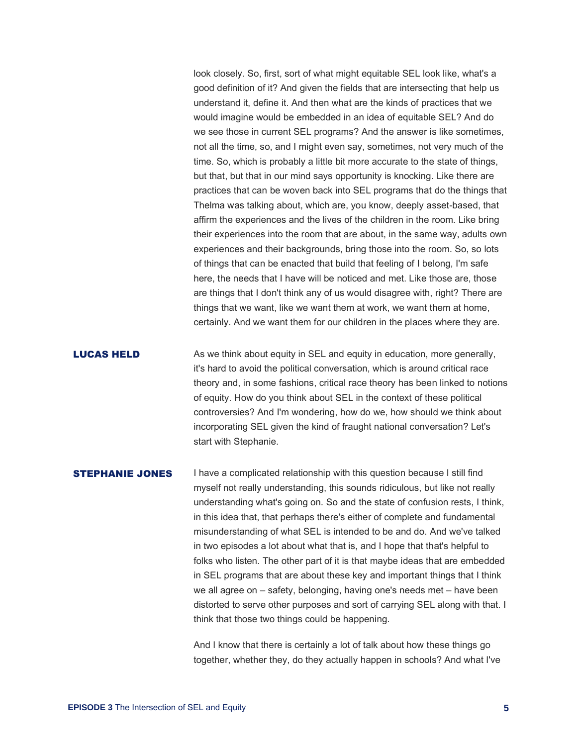look closely. So, first, sort of what might equitable SEL look like, what's a good definition of it? And given the fields that are intersecting that help us understand it, define it. And then what are the kinds of practices that we would imagine would be embedded in an idea of equitable SEL? And do we see those in current SEL programs? And the answer is like sometimes, not all the time, so, and I might even say, sometimes, not very much of the time. So, which is probably a little bit more accurate to the state of things, but that, but that in our mind says opportunity is knocking. Like there are practices that can be woven back into SEL programs that do the things that Thelma was talking about, which are, you know, deeply asset-based, that affirm the experiences and the lives of the children in the room. Like bring their experiences into the room that are about, in the same way, adults own experiences and their backgrounds, bring those into the room. So, so lots of things that can be enacted that build that feeling of I belong, I'm safe here, the needs that I have will be noticed and met. Like those are, those are things that I don't think any of us would disagree with, right? There are things that we want, like we want them at work, we want them at home, certainly. And we want them for our children in the places where they are.

**LUCAS HELD** As we think about equity in SEL and equity in education, more generally, it's hard to avoid the political conversation, which is around critical race theory and, in some fashions, critical race theory has been linked to notions of equity. How do you think about SEL in the context of these political controversies? And I'm wondering, how do we, how should we think about incorporating SEL given the kind of fraught national conversation? Let's start with Stephanie.

**STEPHANIE JONES** I have a complicated relationship with this question because I still find myself not really understanding, this sounds ridiculous, but like not really understanding what's going on. So and the state of confusion rests, I think, in this idea that, that perhaps there's either of complete and fundamental misunderstanding of what SEL is intended to be and do. And we've talked in two episodes a lot about what that is, and I hope that that's helpful to folks who listen. The other part of it is that maybe ideas that are embedded in SEL programs that are about these key and important things that I think we all agree on – safety, belonging, having one's needs met – have been distorted to serve other purposes and sort of carrying SEL along with that. I think that those two things could be happening.

> And I know that there is certainly a lot of talk about how these things go together, whether they, do they actually happen in schools? And what I've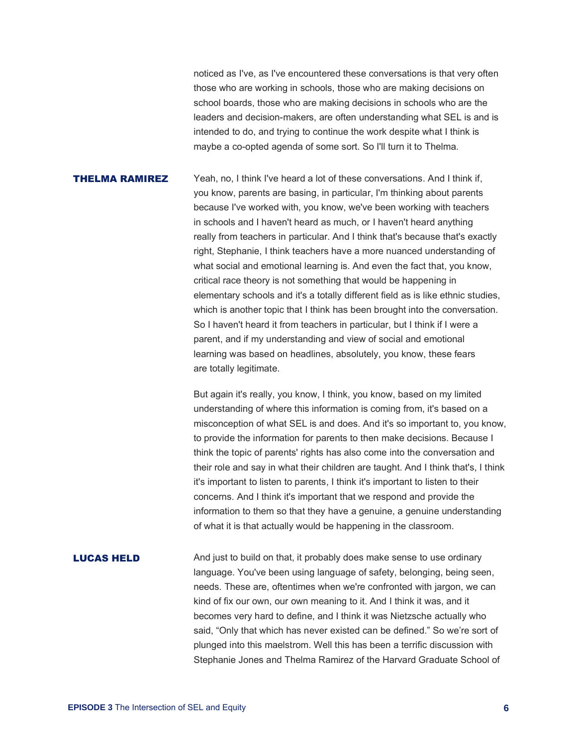noticed as I've, as I've encountered these conversations is that very often those who are working in schools, those who are making decisions on school boards, those who are making decisions in schools who are the leaders and decision-makers, are often understanding what SEL is and is intended to do, and trying to continue the work despite what I think is maybe a co-opted agenda of some sort. So I'll turn it to Thelma.

**THELMA RAMIREZ** Yeah, no, I think I've heard a lot of these conversations. And I think if, you know, parents are basing, in particular, I'm thinking about parents because I've worked with, you know, we've been working with teachers in schools and I haven't heard as much, or I haven't heard anything really from teachers in particular. And I think that's because that's exactly right, Stephanie, I think teachers have a more nuanced understanding of what social and emotional learning is. And even the fact that, you know, critical race theory is not something that would be happening in elementary schools and it's a totally different field as is like ethnic studies, which is another topic that I think has been brought into the conversation. So I haven't heard it from teachers in particular, but I think if I were a parent, and if my understanding and view of social and emotional learning was based on headlines, absolutely, you know, these fears are totally legitimate.

> But again it's really, you know, I think, you know, based on my limited understanding of where this information is coming from, it's based on a misconception of what SEL is and does. And it's so important to, you know, to provide the information for parents to then make decisions. Because I think the topic of parents' rights has also come into the conversation and their role and say in what their children are taught. And I think that's, I think it's important to listen to parents, I think it's important to listen to their concerns. And I think it's important that we respond and provide the information to them so that they have a genuine, a genuine understanding of what it is that actually would be happening in the classroom.

**LUCAS HELD** And just to build on that, it probably does make sense to use ordinary language. You've been using language of safety, belonging, being seen, needs. These are, oftentimes when we're confronted with jargon, we can kind of fix our own, our own meaning to it. And I think it was, and it becomes very hard to define, and I think it was Nietzsche actually who said, "Only that which has never existed can be defined." So we're sort of plunged into this maelstrom. Well this has been a terrific discussion with Stephanie Jones and Thelma Ramirez of the Harvard Graduate School of